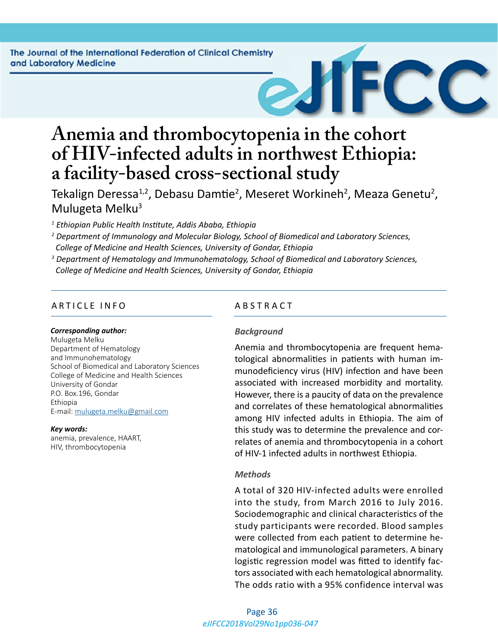

Tekalign Deressa<sup>1,2</sup>, Debasu Damtie<sup>2</sup>, Meseret Workineh<sup>2</sup>, Meaza Genetu<sup>2</sup>, Mulugeta Melku<sup>3</sup>

*1 Ethiopian Public Health Institute, Addis Ababa, Ethiopia* 

- *2 Department of Immunology and Molecular Biology, School of Biomedical and Laboratory Sciences, College of Medicine and Health Sciences, University of Gondar, Ethiopia*
- *3 Department of Hematology and Immunohematology, School of Biomedical and Laboratory Sciences, College of Medicine and Health Sciences, University of Gondar, Ethiopia*

# ARTICLE INFO ABSTRACT

#### *Corresponding author:*

Mulugeta Melku Department of Hematology and Immunohematology School of Biomedical and Laboratory Sciences College of Medicine and Health Sciences University of Gondar P.O. Box.196, Gondar Ethiopia E-mail: [mulugeta.melku@gmail.com](mailto:mulugeta.melku@gmail.com)

#### *Key words:*

anemia, prevalence, HAART, HIV, thrombocytopenia

## *Background*

Anemia and thrombocytopenia are frequent hematological abnormalities in patients with human immunodeficiency virus (HIV) infection and have been associated with increased morbidity and mortality. However, there is a paucity of data on the prevalence and correlates of these hematological abnormalities among HIV infected adults in Ethiopia. The aim of this study was to determine the prevalence and correlates of anemia and thrombocytopenia in a cohort of HIV-1 infected adults in northwest Ethiopia.

#### *Methods*

A total of 320 HIV-infected adults were enrolled into the study, from March 2016 to July 2016. Sociodemographic and clinical characteristics of the study participants were recorded. Blood samples were collected from each patient to determine hematological and immunological parameters. A binary logistic regression model was fitted to identify factors associated with each hematological abnormality. The odds ratio with a 95% confidence interval was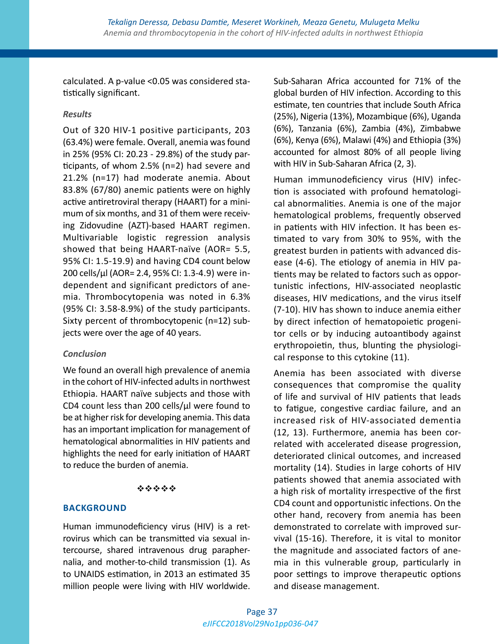calculated. A p-value <0.05 was considered statistically significant.

# *Results*

Out of 320 HIV-1 positive participants, 203 (63.4%) were female. Overall, anemia was found in 25% (95% CI: 20.23 - 29.8%) of the study participants, of whom 2.5% (n=2) had severe and 21.2% (n=17) had moderate anemia. About 83.8% (67/80) anemic patients were on highly active antiretroviral therapy (HAART) for a minimum of six months, and 31 of them were receiving Zidovudine (AZT)-based HAART regimen. Multivariable logistic regression analysis showed that being HAART-naïve (AOR= 5.5, 95% CI: 1.5-19.9) and having CD4 count below 200 cells/µl (AOR= 2.4, 95% CI: 1.3-4.9) were independent and significant predictors of anemia. Thrombocytopenia was noted in 6.3% (95% CI: 3.58-8.9%) of the study participants. Sixty percent of thrombocytopenic (n=12) subjects were over the age of 40 years.

# *Conclusion*

We found an overall high prevalence of anemia in the cohort of HIV-infected adults in northwest Ethiopia. HAART naïve subjects and those with CD4 count less than 200 cells/µl were found to be at higher risk for developing anemia. This data has an important implication for management of hematological abnormalities in HIV patients and highlights the need for early initiation of HAART to reduce the burden of anemia.

# \*\*\*\*\*

# **BACKGROUND**

Human immunodeficiency virus (HIV) is a retrovirus which can be transmitted via sexual intercourse, shared intravenous drug paraphernalia, and mother-to-child transmission (1). As to UNAIDS estimation, in 2013 an estimated 35 million people were living with HIV worldwide. Sub-Saharan Africa accounted for 71% of the global burden of HIV infection. According to this estimate, ten countries that include South Africa (25%), Nigeria (13%), Mozambique (6%), Uganda (6%), Tanzania (6%), Zambia (4%), Zimbabwe (6%), Kenya (6%), Malawi (4%) and Ethiopia (3%) accounted for almost 80% of all people living with HIV in Sub-Saharan Africa (2, 3).

Human immunodeficiency virus (HIV) infection is associated with profound hematological abnormalities. Anemia is one of the major hematological problems, frequently observed in patients with HIV infection. It has been estimated to vary from 30% to 95%, with the greatest burden in patients with advanced disease (4-6). The etiology of anemia in HIV patients may be related to factors such as opportunistic infections, HIV-associated neoplastic diseases, HIV medications, and the virus itself (7-10). HIV has shown to induce anemia either by direct infection of hematopoietic progenitor cells or by inducing autoantibody against erythropoietin, thus, blunting the physiological response to this cytokine (11).

Anemia has been associated with diverse consequences that compromise the quality of life and survival of HIV patients that leads to fatigue, congestive cardiac failure, and an increased risk of HIV-associated dementia (12, 13). Furthermore, anemia has been correlated with accelerated disease progression, deteriorated clinical outcomes, and increased mortality (14). Studies in large cohorts of HIV patients showed that anemia associated with a high risk of mortality irrespective of the first CD4 count and opportunistic infections. On the other hand, recovery from anemia has been demonstrated to correlate with improved survival (15-16). Therefore, it is vital to monitor the magnitude and associated factors of anemia in this vulnerable group, particularly in poor settings to improve therapeutic options and disease management.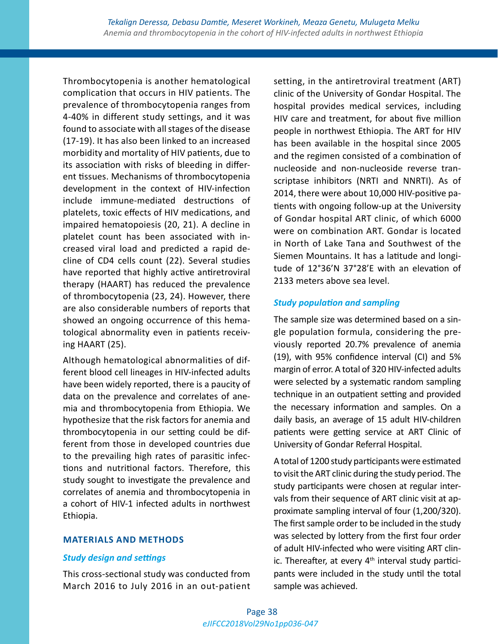Thrombocytopenia is another hematological complication that occurs in HIV patients. The prevalence of thrombocytopenia ranges from 4-40% in different study settings, and it was found to associate with all stages of the disease (17-19). It has also been linked to an increased morbidity and mortality of HIV patients, due to its association with risks of bleeding in different tissues. Mechanisms of thrombocytopenia development in the context of HIV-infection include immune-mediated destructions of platelets, toxic effects of HIV medications, and impaired hematopoiesis (20, 21). A decline in platelet count has been associated with increased viral load and predicted a rapid decline of CD4 cells count (22). Several studies have reported that highly active antiretroviral therapy (HAART) has reduced the prevalence of thrombocytopenia (23, 24). However, there are also considerable numbers of reports that showed an ongoing occurrence of this hematological abnormality even in patients receiving HAART (25).

Although hematological abnormalities of different blood cell lineages in HIV-infected adults have been widely reported, there is a paucity of data on the prevalence and correlates of anemia and thrombocytopenia from Ethiopia. We hypothesize that the risk factors for anemia and thrombocytopenia in our setting could be different from those in developed countries due to the prevailing high rates of parasitic infections and nutritional factors. Therefore, this study sought to investigate the prevalence and correlates of anemia and thrombocytopenia in a cohort of HIV-1 infected adults in northwest Ethiopia.

## **MATERIALS AND METHODS**

# *Study design and settings*

This cross-sectional study was conducted from March 2016 to July 2016 in an out-patient setting, in the antiretroviral treatment (ART) clinic of the University of Gondar Hospital. The hospital provides medical services, including HIV care and treatment, for about five million people in northwest Ethiopia. The ART for HIV has been available in the hospital since 2005 and the regimen consisted of a combination of nucleoside and non-nucleoside reverse transcriptase inhibitors (NRTI and NNRTI). As of 2014, there were about 10,000 HIV-positive patients with ongoing follow-up at the University of Gondar hospital ART clinic, of which 6000 were on combination ART. Gondar is located in North of Lake Tana and Southwest of the Siemen Mountains. It has a latitude and longitude of 12°36'N 37°28'E with an elevation of 2133 meters above sea level.

# *Study population and sampling*

The sample size was determined based on a single population formula, considering the previously reported 20.7% prevalence of anemia (19), with 95% confidence interval (CI) and 5% margin of error. A total of 320 HIV-infected adults were selected by a systematic random sampling technique in an outpatient setting and provided the necessary information and samples. On a daily basis, an average of 15 adult HIV-children patients were getting service at ART Clinic of University of Gondar Referral Hospital.

A total of 1200 study participants were estimated to visit the ART clinic during the study period. The study participants were chosen at regular intervals from their sequence of ART clinic visit at approximate sampling interval of four (1,200/320). The first sample order to be included in the study was selected by lottery from the first four order of adult HIV-infected who were visiting ART clinic. Thereafter, at every  $4<sup>th</sup>$  interval study participants were included in the study until the total sample was achieved.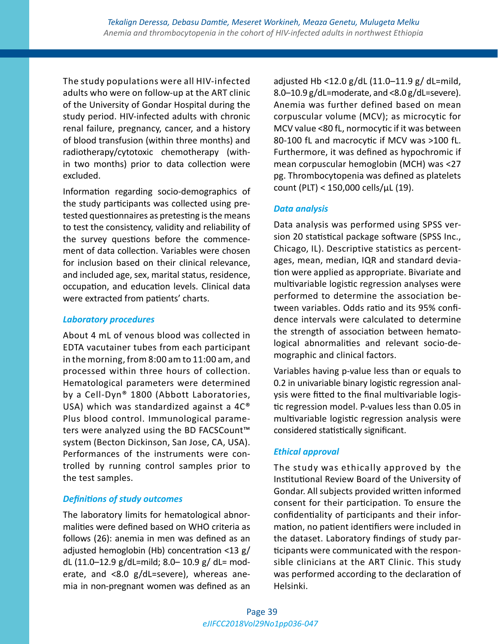The study populations were all HIV-infected adults who were on follow-up at the ART clinic of the University of Gondar Hospital during the study period. HIV-infected adults with chronic renal failure, pregnancy, cancer, and a history of blood transfusion (within three months) and radiotherapy/cytotoxic chemotherapy (within two months) prior to data collection were excluded.

Information regarding socio-demographics of the study participants was collected using pretested questionnaires as pretesting is the means to test the consistency, validity and reliability of the survey questions before the commencement of data collection. Variables were chosen for inclusion based on their clinical relevance, and included age, sex, marital status, residence, occupation, and education levels. Clinical data were extracted from patients' charts.

## *Laboratory procedures*

About 4 mL of venous blood was collected in EDTA vacutainer tubes from each participant in the morning, from 8:00 am to 11:00 am, and processed within three hours of collection. Hematological parameters were determined by a Cell-Dyn® 1800 (Abbott Laboratories, USA) which was standardized against a 4C® Plus blood control. Immunological parameters were analyzed using the BD FACSCount<sup>™</sup> system (Becton Dickinson, San Jose, CA, USA). Performances of the instruments were controlled by running control samples prior to the test samples.

# *Definitions of study outcomes*

The laboratory limits for hematological abnormalities were defined based on WHO criteria as follows (26): anemia in men was defined as an adjusted hemoglobin (Hb) concentration <13 g/ dL (11.0–12.9 g/dL=mild; 8.0– 10.9 g/ dL= moderate, and <8.0 g/dL=severe), whereas anemia in non-pregnant women was defined as an adjusted Hb <12.0 g/dL (11.0–11.9 g/ dL=mild, 8.0–10.9 g/dL=moderate, and <8.0 g/dL=severe). Anemia was further defined based on mean corpuscular volume (MCV); as microcytic for MCV value <80 fL, normocytic if it was between 80-100 fL and macrocytic if MCV was >100 fL. Furthermore, it was defined as hypochromic if mean corpuscular hemoglobin (MCH) was <27 pg. Thrombocytopenia was defined as platelets count (PLT) < 150,000 cells/µL (19).

# *Data analysis*

Data analysis was performed using SPSS version 20 statistical package software (SPSS Inc., Chicago, IL). Descriptive statistics as percentages, mean, median, IQR and standard deviation were applied as appropriate. Bivariate and multivariable logistic regression analyses were performed to determine the association between variables. Odds ratio and its 95% confidence intervals were calculated to determine the strength of association between hematological abnormalities and relevant socio-demographic and clinical factors.

Variables having p-value less than or equals to 0.2 in univariable binary logistic regression analysis were fitted to the final multivariable logistic regression model. P-values less than 0.05 in multivariable logistic regression analysis were considered statistically significant.

# *Ethical approval*

The study was ethically approved by the Institutional Review Board of the University of Gondar. All subjects provided written informed consent for their participation. To ensure the confidentiality of participants and their information, no patient identifiers were included in the dataset. Laboratory findings of study participants were communicated with the responsible clinicians at the ART Clinic. This study was performed according to the declaration of Helsinki.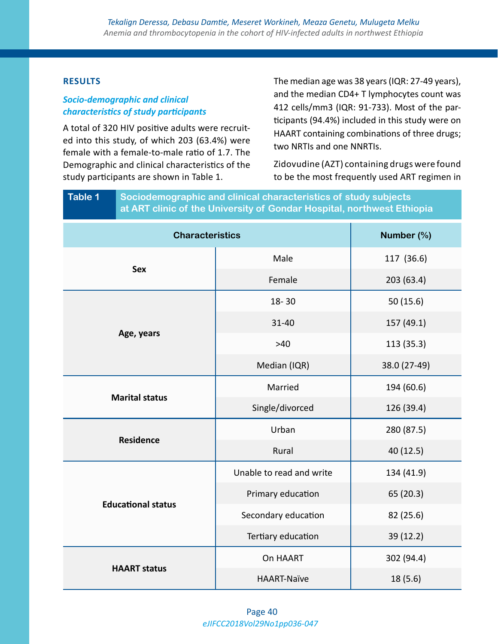# **RESULTS**

# *Socio-demographic and clinical characteristics of study participants*

A total of 320 HIV positive adults were recruited into this study, of which 203 (63.4%) were female with a female-to-male ratio of 1.7. The Demographic and clinical characteristics of the study participants are shown in Table 1.

The median age was 38 years (IQR: 27-49 years), and the median CD4+ T lymphocytes count was 412 cells/mm3 (IQR: 91-733). Most of the participants (94.4%) included in this study were on HAART containing combinations of three drugs; two NRTIs and one NNRTIs.

Zidovudine (AZT) containing drugs were found to be the most frequently used ART regimen in

# **Table 1 Sociodemographic and clinical characteristics of study subjects at ART clinic of the University of Gondar Hospital, northwest Ethiopia**

| <b>Characteristics</b>    | Number (%)               |              |  |
|---------------------------|--------------------------|--------------|--|
| <b>Sex</b>                | Male                     | 117 (36.6)   |  |
|                           | Female                   | 203 (63.4)   |  |
|                           | $18 - 30$                | 50(15.6)     |  |
| Age, years                | $31 - 40$                | 157 (49.1)   |  |
|                           | $>40$                    | 113 (35.3)   |  |
|                           | Median (IQR)             | 38.0 (27-49) |  |
|                           | Married                  | 194 (60.6)   |  |
| <b>Marital status</b>     | Single/divorced          | 126 (39.4)   |  |
|                           | Urban                    | 280 (87.5)   |  |
| <b>Residence</b>          | Rural                    | 40 (12.5)    |  |
|                           | Unable to read and write | 134 (41.9)   |  |
| <b>Educational status</b> | Primary education        | 65 (20.3)    |  |
|                           | Secondary education      | 82 (25.6)    |  |
|                           | Tertiary education       | 39 (12.2)    |  |
|                           | On HAART                 | 302 (94.4)   |  |
| <b>HAART status</b>       | <b>HAART-Naïve</b>       | 18(5.6)      |  |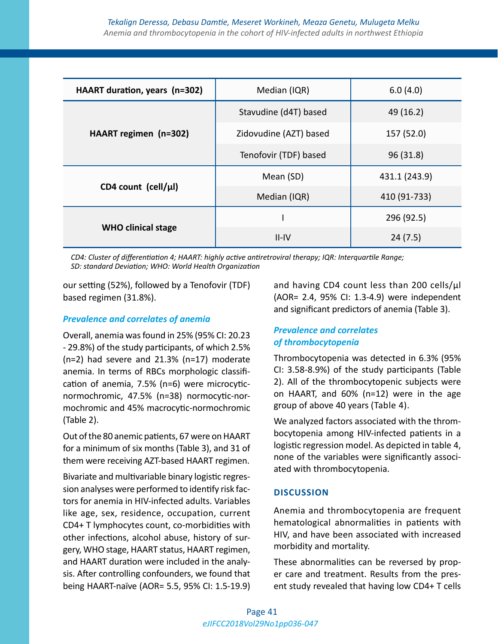| HAART duration, years (n=302) | Median (IQR)           | 6.0(4.0)      |  |
|-------------------------------|------------------------|---------------|--|
|                               | Stavudine (d4T) based  | 49 (16.2)     |  |
| HAART regimen (n=302)         | Zidovudine (AZT) based | 157 (52.0)    |  |
|                               | Tenofovir (TDF) based  | 96 (31.8)     |  |
|                               | Mean (SD)              | 431.1 (243.9) |  |
| CD4 count (cell/ $\mu$ l)     | Median (IQR)           | 410 (91-733)  |  |
|                               |                        | 296 (92.5)    |  |
| <b>WHO clinical stage</b>     | $II$ -IV               | 24(7.5)       |  |

*CD4: Cluster of differentiation 4; HAART: highly active antiretroviral therapy; IQR: Interquartile Range; SD: standard Deviation; WHO: World Health Organization*

our setting (52%), followed by a Tenofovir (TDF) based regimen (31.8%).

# *Prevalence and correlates of anemia*

Overall, anemia was found in 25% (95% CI: 20.23 - 29.8%) of the study participants, of which 2.5% (n=2) had severe and 21.3% (n=17) moderate anemia. In terms of RBCs morphologic classification of anemia, 7.5% (n=6) were microcyticnormochromic, 47.5% (n=38) normocytic-normochromic and 45% macrocytic-normochromic (Table 2).

Out of the 80 anemic patients, 67 were on HAART for a minimum of six months (Table 3), and 31 of them were receiving AZT-based HAART regimen.

Bivariate and multivariable binary logistic regression analyses were performed to identify risk factors for anemia in HIV-infected adults. Variables like age, sex, residence, occupation, current CD4+ T lymphocytes count, co-morbidities with other infections, alcohol abuse, history of surgery, WHO stage, HAART status, HAART regimen, and HAART duration were included in the analysis. After controlling confounders, we found that being HAART-naïve (AOR= 5.5, 95% CI: 1.5-19.9) and having CD4 count less than 200 cells/µl (AOR= 2.4, 95% CI: 1.3-4.9) were independent and significant predictors of anemia (Table 3).

# *Prevalence and correlates of thrombocytopenia*

Thrombocytopenia was detected in 6.3% (95% CI: 3.58-8.9%) of the study participants (Table 2). All of the thrombocytopenic subjects were on HAART, and 60% (n=12) were in the age group of above 40 years (Table 4).

We analyzed factors associated with the thrombocytopenia among HIV-infected patients in a logistic regression model. As depicted in table 4, none of the variables were significantly associated with thrombocytopenia.

## **DISCUSSION**

Anemia and thrombocytopenia are frequent hematological abnormalities in patients with HIV, and have been associated with increased morbidity and mortality.

These abnormalities can be reversed by proper care and treatment. Results from the present study revealed that having low CD4+ T cells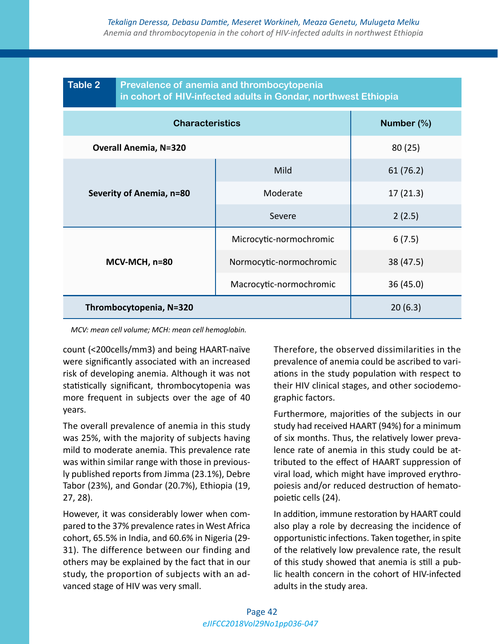| <b>Table 2</b>               | Prevalence of anemia and thrombocytopenia<br>in cohort of HIV-infected adults in Gondar, northwest Ethiopia |            |  |  |  |
|------------------------------|-------------------------------------------------------------------------------------------------------------|------------|--|--|--|
| <b>Characteristics</b>       |                                                                                                             | Number (%) |  |  |  |
| <b>Overall Anemia, N=320</b> |                                                                                                             | 80(25)     |  |  |  |
| Severity of Anemia, n=80     | Mild                                                                                                        | 61 (76.2)  |  |  |  |
|                              | Moderate                                                                                                    | 17(21.3)   |  |  |  |
|                              | Severe                                                                                                      | 2(2.5)     |  |  |  |
| MCV-MCH, n=80                | Microcytic-normochromic                                                                                     | 6(7.5)     |  |  |  |
|                              | Normocytic-normochromic                                                                                     | 38 (47.5)  |  |  |  |
|                              | Macrocytic-normochromic                                                                                     | 36 (45.0)  |  |  |  |
| Thrombocytopenia, N=320      |                                                                                                             | 20(6.3)    |  |  |  |

*MCV: mean cell volume; MCH: mean cell hemoglobin.*

count (<200cells/mm3) and being HAART-naïve were significantly associated with an increased risk of developing anemia. Although it was not statistically significant, thrombocytopenia was more frequent in subjects over the age of 40 years.

The overall prevalence of anemia in this study was 25%, with the majority of subjects having mild to moderate anemia. This prevalence rate was within similar range with those in previously published reports from Jimma (23.1%), Debre Tabor (23%), and Gondar (20.7%), Ethiopia (19, 27, 28).

However, it was considerably lower when compared to the 37% prevalence rates in West Africa cohort, 65.5% in India, and 60.6% in Nigeria (29- 31). The difference between our finding and others may be explained by the fact that in our study, the proportion of subjects with an advanced stage of HIV was very small.

Therefore, the observed dissimilarities in the prevalence of anemia could be ascribed to variations in the study population with respect to their HIV clinical stages, and other sociodemographic factors.

Furthermore, majorities of the subjects in our study had received HAART (94%) for a minimum of six months. Thus, the relatively lower prevalence rate of anemia in this study could be attributed to the effect of HAART suppression of viral load, which might have improved erythropoiesis and/or reduced destruction of hematopoietic cells (24).

In addition, immune restoration by HAART could also play a role by decreasing the incidence of opportunistic infections. Taken together, in spite of the relatively low prevalence rate, the result of this study showed that anemia is still a public health concern in the cohort of HIV-infected adults in the study area.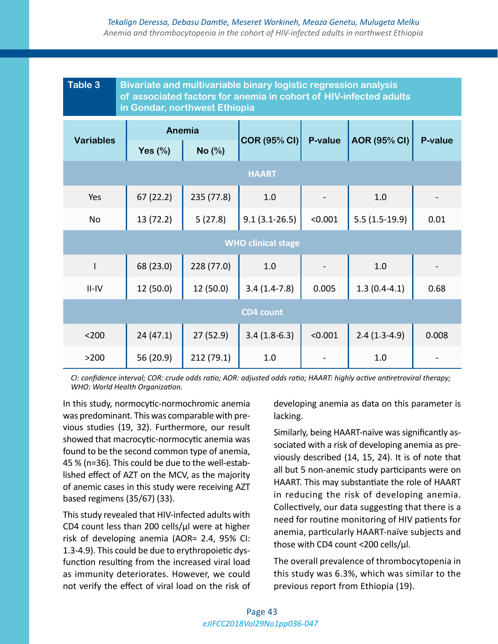# *Tekalign Deressa, Debasu Damtie, Meseret Workineh, Meaza Genetu, Mulugeta Melku Anemia and thrombocytopenia in the cohort of HIV-infected adults in northwest Ethiopia*

| Table 3<br>Bivariate and multivariable binary logistic regression analysis<br>of associated factors for anemia in cohort of HIV-infected adults<br>in Gondar, northwest Ethiopia |            |            |                     |         |                     |         |
|----------------------------------------------------------------------------------------------------------------------------------------------------------------------------------|------------|------------|---------------------|---------|---------------------|---------|
| <b>Variables</b>                                                                                                                                                                 | Anemia     |            |                     |         |                     |         |
|                                                                                                                                                                                  | Yes $(\%)$ | No (%)     | <b>COR (95% CI)</b> | P-value | <b>AOR (95% CI)</b> | P-value |
| <b>HAART</b>                                                                                                                                                                     |            |            |                     |         |                     |         |
| Yes                                                                                                                                                                              | 67(22.2)   | 235 (77.8) | 1.0                 |         | 1.0                 |         |
| No                                                                                                                                                                               | 13 (72.2)  | 5(27.8)    | $9.1(3.1 - 26.5)$   | < 0.001 | $5.5(1.5-19.9)$     | 0.01    |
| <b>WHO clinical stage</b>                                                                                                                                                        |            |            |                     |         |                     |         |
| I                                                                                                                                                                                | 68 (23.0)  | 228 (77.0) | 1.0                 |         | 1.0                 |         |
| $II$ -IV                                                                                                                                                                         | 12(50.0)   | 12(50.0)   | $3.4(1.4-7.8)$      | 0.005   | $1.3(0.4-4.1)$      | 0.68    |
| <b>CD4 count</b>                                                                                                                                                                 |            |            |                     |         |                     |         |
| < 200                                                                                                                                                                            | 24(47.1)   | 27 (52.9)  | $3.4(1.8-6.3)$      | < 0.001 | $2.4(1.3-4.9)$      | 0.008   |
| >200                                                                                                                                                                             | 56 (20.9)  | 212 (79.1) | 1.0                 |         | 1.0                 |         |

*CI: confidence interval; COR: crude odds ratio; AOR: adjusted odds ratio; HAART: highly active antiretroviral therapy; WHO: World Health Organization.*

In this study, normocytic-normochromic anemia was predominant. This was comparable with previous studies (19, 32). Furthermore, our result showed that macrocytic-normocytic anemia was found to be the second common type of anemia, 45 % (n=36). This could be due to the well-established effect of AZT on the MCV, as the majority of anemic cases in this study were receiving AZT based regimens (35/67) (33).

This study revealed that HIV-infected adults with CD4 count less than 200 cells/ $\mu$ l were at higher risk of developing anemia (AOR= 2.4, 95% CI: 1.3-4.9). This could be due to erythropoietic dysfunction resulting from the increased viral load as immunity deteriorates. However, we could not verify the effect of viral load on the risk of developing anemia as data on this parameter is lacking.

Similarly, being HAART-naïve was significantly associated with a risk of developing anemia as previously described (14, 15, 24). It is of note that all but 5 non-anemic study participants were on HAART. This may substantiate the role of HAART in reducing the risk of developing anemia. Collectively, our data suggesting that there is a need for routine monitoring of HIV patients for anemia, particularly HAART-naïve subjects and those with CD4 count <200 cells/µl.

The overall prevalence of thrombocytopenia in this study was 6.3%, which was similar to the previous report from Ethiopia (19).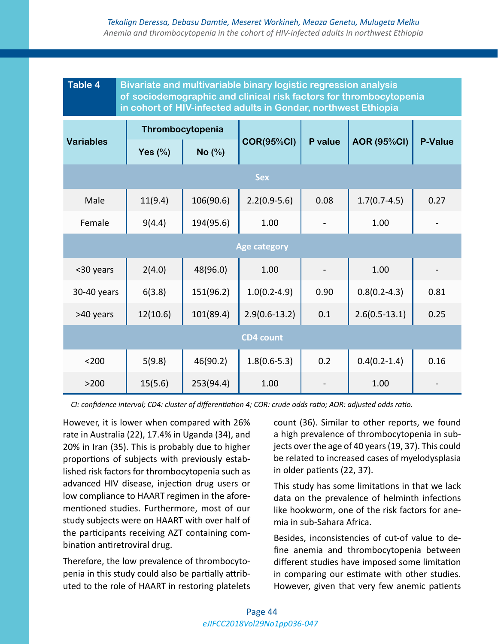# *Tekalign Deressa, Debasu Damtie, Meseret Workineh, Meaza Genetu, Mulugeta Melku Anemia and thrombocytopenia in the cohort of HIV-infected adults in northwest Ethiopia*

| <b>Table 4</b><br><b>Bivariate and multivariable binary logistic regression analysis</b><br>of sociodemographic and clinical risk factors for thrombocytopenia<br>in cohort of HIV-infected adults in Gondar, northwest Ethiopia |                  |           |                   |         |                    |                |
|----------------------------------------------------------------------------------------------------------------------------------------------------------------------------------------------------------------------------------|------------------|-----------|-------------------|---------|--------------------|----------------|
| <b>Variables</b>                                                                                                                                                                                                                 | Thrombocytopenia |           |                   |         |                    |                |
|                                                                                                                                                                                                                                  | Yes $(\%)$       | No (%)    | <b>COR(95%CI)</b> | P value | <b>AOR (95%CI)</b> | <b>P-Value</b> |
| <b>Sex</b>                                                                                                                                                                                                                       |                  |           |                   |         |                    |                |
| Male                                                                                                                                                                                                                             | 11(9.4)          | 106(90.6) | $2.2(0.9-5.6)$    | 0.08    | $1.7(0.7-4.5)$     | 0.27           |
| Female                                                                                                                                                                                                                           | 9(4.4)           | 194(95.6) | 1.00              |         | 1.00               |                |
| <b>Age category</b>                                                                                                                                                                                                              |                  |           |                   |         |                    |                |
| <30 years                                                                                                                                                                                                                        | 2(4.0)           | 48(96.0)  | 1.00              |         | 1.00               |                |
| 30-40 years                                                                                                                                                                                                                      | 6(3.8)           | 151(96.2) | $1.0(0.2 - 4.9)$  | 0.90    | $0.8(0.2 - 4.3)$   | 0.81           |
| >40 years                                                                                                                                                                                                                        | 12(10.6)         | 101(89.4) | $2.9(0.6-13.2)$   | 0.1     | $2.6(0.5-13.1)$    | 0.25           |
| <b>CD4 count</b>                                                                                                                                                                                                                 |                  |           |                   |         |                    |                |
| $200$                                                                                                                                                                                                                            | 5(9.8)           | 46(90.2)  | $1.8(0.6 - 5.3)$  | 0.2     | $0.4(0.2 - 1.4)$   | 0.16           |
| >200                                                                                                                                                                                                                             | 15(5.6)          | 253(94.4) | 1.00              |         | 1.00               |                |

*CI: confidence interval; CD4: cluster of differentiation 4; COR: crude odds ratio; AOR: adjusted odds ratio.*

However, it is lower when compared with 26% rate in Australia (22), 17.4% in Uganda (34), and 20% in Iran (35). This is probably due to higher proportions of subjects with previously established risk factors for thrombocytopenia such as advanced HIV disease, injection drug users or low compliance to HAART regimen in the aforementioned studies. Furthermore, most of our study subjects were on HAART with over half of the participants receiving AZT containing combination antiretroviral drug.

Therefore, the low prevalence of thrombocytopenia in this study could also be partially attributed to the role of HAART in restoring platelets count (36). Similar to other reports, we found a high prevalence of thrombocytopenia in subjects over the age of 40 years (19, 37). This could be related to increased cases of myelodysplasia in older patients (22, 37).

This study has some limitations in that we lack data on the prevalence of helminth infections like hookworm, one of the risk factors for anemia in sub-Sahara Africa.

Besides, inconsistencies of cut-of value to define anemia and thrombocytopenia between different studies have imposed some limitation in comparing our estimate with other studies. However, given that very few anemic patients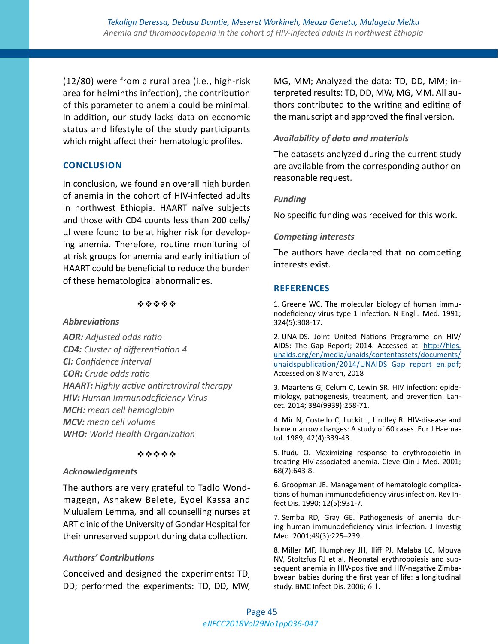(12/80) were from a rural area (i.e., high-risk area for helminths infection), the contribution of this parameter to anemia could be minimal. In addition, our study lacks data on economic status and lifestyle of the study participants which might affect their hematologic profiles.

# **CONCLUSION**

In conclusion, we found an overall high burden of anemia in the cohort of HIV-infected adults in northwest Ethiopia. HAART naïve subjects and those with CD4 counts less than 200 cells/ µl were found to be at higher risk for developing anemia. Therefore, routine monitoring of at risk groups for anemia and early initiation of HAART could be beneficial to reduce the burden of these hematological abnormalities.

## \*\*\*\*\*

## *Abbreviations*

*AOR: Adjusted odds ratio CD4: Cluster of differentiation 4 CI: Confidence interval COR: Crude odds ratio HAART: Highly active antiretroviral therapy HIV: Human Immunodeficiency Virus MCH: mean cell hemoglobin MCV: mean cell volume WHO: World Health Organization*

## \*\*\*\*\*

## *Acknowledgments*

The authors are very grateful to Tadlo Wondmagegn, Asnakew Belete, Eyoel Kassa and Mulualem Lemma, and all counselling nurses at ART clinic of the University of Gondar Hospital for their unreserved support during data collection.

# *Authors' Contributions*

Conceived and designed the experiments: TD, DD; performed the experiments: TD, DD, MW, MG, MM; Analyzed the data: TD, DD, MM; interpreted results: TD, DD, MW, MG, MM. All authors contributed to the writing and editing of the manuscript and approved the final version.

# *Availability of data and materials*

The datasets analyzed during the current study are available from the corresponding author on reasonable request.

# *Funding*

No specific funding was received for this work.

# *Competing interests*

The authors have declared that no competing interests exist.

# **REFERENCES**

1. Greene WC. The molecular biology of human immunodeficiency virus type 1 infection. N Engl J Med. 1991; 324(5):308-17.

2. UNAIDS. Joint United Nations Programme on HIV/ AIDS: The Gap Report; 2014. Accessed at: [http://files.](http://files.unaids.org/en/media/unaids/contentassets/documents/unaidspublication/2014/UNAIDS_Gap_report_en.pdf) [unaids.org/en/media/unaids/contentassets/documents/](http://files.unaids.org/en/media/unaids/contentassets/documents/unaidspublication/2014/UNAIDS_Gap_report_en.pdf) unaidspublication/2014/UNAIDS Gap\_report\_en.pdf; Accessed on 8 March, 2018

3. Maartens G, Celum C, Lewin SR. HIV infection: epidemiology, pathogenesis, treatment, and prevention. Lancet. 2014; 384(9939):258-71.

4. Mir N, Costello C, Luckit J, Lindley R. HIV-disease and bone marrow changes: A study of 60 cases. Eur J Haematol. 1989; 42(4):339-43.

5. Ifudu O. Maximizing response to erythropoietin in treating HIV-associated anemia. Cleve Clin J Med. 2001; 68(7):643-8.

6. Groopman JE. Management of hematologic complications of human immunodeficiency virus infection. Rev Infect Dis. 1990; 12(5):931-7.

7. Semba RD, Gray GE. Pathogenesis of anemia during human immunodeficiency virus infection. J Investig Med. 2001;49(3):225–239.

8. Miller MF, Humphrey JH, Iliff PJ, Malaba LC, Mbuya NV, Stoltzfus RJ et al. Neonatal erythropoiesis and subsequent anemia in HIV-positive and HIV-negative Zimbabwean babies during the first year of life: a longitudinal study. BMC Infect Dis. 2006; 6:1.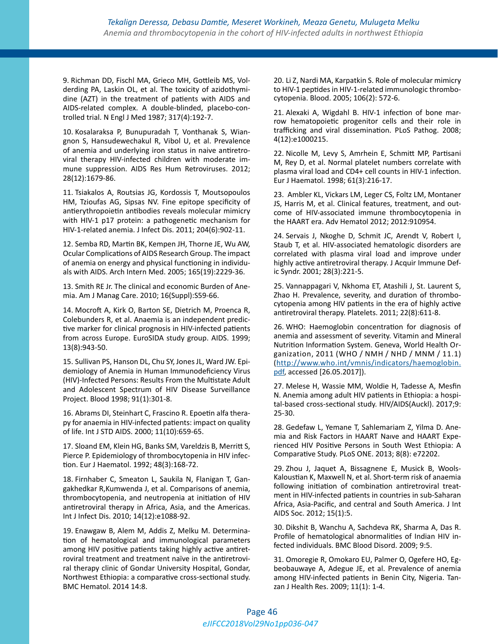9. Richman DD, Fischl MA, Grieco MH, Gottleib MS, Volderding PA, Laskin OL, et al. The toxicity of azidothymidine (AZT) in the treatment of patients with AIDS and AIDS-related complex. A double-blinded, placebo-controlled trial. N Engl J Med 1987; 317(4):192-7.

10. Kosalaraksa P, Bunupuradah T, Vonthanak S, Wiangnon S, Hansudewechakul R, Vibol U, et al. Prevalence of anemia and underlying iron status in naive antiretroviral therapy HIV-infected children with moderate immune suppression. AIDS Res Hum Retroviruses. 2012; 28(12):1679-86.

11. Tsiakalos A, Routsias JG, Kordossis T, Moutsopoulos HM, Tzioufas AG, Sipsas NV. Fine epitope specificity of antierythropoietin antibodies reveals molecular mimicry with HIV-1 p17 protein: a pathogenetic mechanism for HIV-1-related anemia. J Infect Dis. 2011; 204(6):902-11.

12. Semba RD, Martin BK, Kempen JH, Thorne JE, Wu AW, Ocular Complications of AIDS Research Group. The impact of anemia on energy and physical functioning in individuals with AIDS. Arch Intern Med. 2005; 165(19):2229-36.

13. Smith RE Jr. The clinical and economic Burden of Anemia. Am J Manag Care. 2010; 16(Suppl):S59-66.

14. Mocroft A, Kirk O, Barton SE, Dietrich M, Proenca R, Colebunders R, et al. Anaemia is an independent predictive marker for clinical prognosis in HIV-infected patients from across Europe. EuroSIDA study group. AIDS. 1999; 13(8):943-50.

15. Sullivan PS, Hanson DL, Chu SY, Jones JL, Ward JW. Epidemiology of Anemia in Human Immunodeficiency Virus (HIV)-Infected Persons: Results From the Multistate Adult and Adolescent Spectrum of HIV Disease Surveillance Project. Blood 1998; 91(1):301-8.

16. Abrams DI, Steinhart C, Frascino R. Epoetin alfa therapy for anaemia in HIV-infected patients: impact on quality of life. Int J STD AIDS. 2000; 11(10):659-65.

17. Sloand EM, Klein HG, Banks SM, Vareldzis B, Merritt S, Pierce P. Epidemiology of thrombocytopenia in HIV infection. Eur J Haematol. 1992; 48(3):168-72.

18. Firnhaber C, Smeaton L, Saukila N, Flanigan T, Gangakhedkar R,Kumwenda J, et al. Comparisons of anemia, thrombocytopenia, and neutropenia at initiation of HIV antiretroviral therapy in Africa, Asia, and the Americas. Int J Infect Dis. 2010; 14(12):e1088-92.

19. Enawgaw B, Alem M, Addis Z, Melku M. Determination of hematological and immunological parameters among HIV positive patients taking highly active antiretroviral treatment and treatment naïve in the antiretroviral therapy clinic of Gondar University Hospital, Gondar, Northwest Ethiopia: a comparative cross-sectional study. BMC Hematol. 2014 14:8.

20. Li Z, Nardi MA, Karpatkin S. Role of molecular mimicry to HIV-1 peptides in HIV-1-related immunologic thrombocytopenia. Blood. 2005; 106(2): 572-6.

21. Alexaki A, Wigdahl B. HIV-1 infection of bone marrow hematopoietic progenitor cells and their role in trafficking and viral dissemination. PLoS Pathog. 2008; 4(12):e1000215.

22. Nicolle M, Levy S, Amrhein E, Schmitt MP, Partisani M, Rey D, et al. Normal platelet numbers correlate with plasma viral load and CD4+ cell counts in HIV-1 infection. Eur J Haematol. 1998; 61(3):216-17.

23.  Ambler KL, Vickars LM, Leger CS, Foltz LM, Montaner JS, Harris M, et al. Clinical features, treatment, and outcome of HIV-associated immune thrombocytopenia in the HAART era. Adv Hematol 2012; 2012:910954.

24. Servais J, Nkoghe D, Schmit JC, Arendt V, Robert I, Staub T, et al. HIV-associated hematologic disorders are correlated with plasma viral load and improve under highly active antiretroviral therapy. J Acquir Immune Defic Syndr. 2001; 28(3):221-5.

25. Vannappagari V, Nkhoma ET, Atashili J, St. Laurent S, Zhao H. Prevalence, severity, and duration of thrombocytopenia among HIV patients in the era of highly active antiretroviral therapy. Platelets. 2011; 22(8):611-8.

26. WHO: Haemoglobin concentration for diagnosis of anemia and assessment of severity. Vitamin and Mineral Nutrition Information System. Geneva, World Health Organization, 2011 (WHO / NMH / NHD / MNM / 11.1) ([http://www.who.int/vmnis/indicators/haemoglobin.](http://www.who.int/vmnis/indicators/haemoglobin.pdf) [pdf](http://www.who.int/vmnis/indicators/haemoglobin.pdf), accessed [26.05.2017]).

27. Melese H, Wassie MM, Woldie H, Tadesse A, Mesfin N. Anemia among adult HIV patients in Ethiopia: a hospital-based cross-sectional study. HIV/AIDS(Auckl). 2017;9: 25-30.

28. Gedefaw L, Yemane T, Sahlemariam Z, Yilma D. Anemia and Risk Factors in HAART Naıve and HAART Experienced HIV Positive Persons in South West Ethiopia: A Comparative Study. PLoS ONE. 2013; 8(8): e72202.

29. Zhou J, Jaquet A, Bissagnene E, Musick B, Wools-Kaloustian K, Maxwell N, et al. Short-term risk of anaemia following initiation of combination antiretroviral treatment in HIV-infected patients in countries in sub-Saharan Africa, Asia-Pacific, and central and South America. J Int AIDS Soc. 2012; 15(1):5.

30. Dikshit B, Wanchu A, Sachdeva RK, Sharma A, Das R. Profile of hematological abnormalities of Indian HIV infected individuals. BMC Blood Disord. 2009; 9:5.

31. Omoregie R, Omokaro EU, Palmer O, Ogefere HO, Egbeobauwaye A, Adegue JE, et al. Prevalence of anemia among HIV-infected patients in Benin City, Nigeria. Tanzan J Health Res. 2009; 11(1): 1-4.